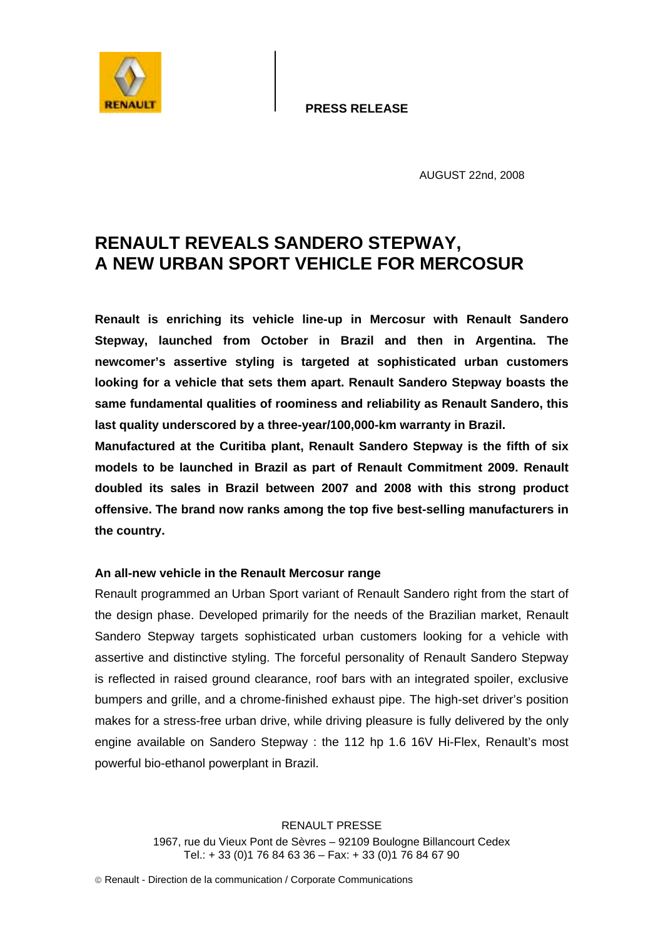**PRESS RELEASE**



AUGUST 22nd, 2008

## **RENAULT REVEALS SANDERO STEPWAY, A NEW URBAN SPORT VEHICLE FOR MERCOSUR**

**Renault is enriching its vehicle line-up in Mercosur with Renault Sandero Stepway, launched from October in Brazil and then in Argentina. The newcomer's assertive styling is targeted at sophisticated urban customers looking for a vehicle that sets them apart. Renault Sandero Stepway boasts the same fundamental qualities of roominess and reliability as Renault Sandero, this last quality underscored by a three-year/100,000-km warranty in Brazil.** 

**Manufactured at the Curitiba plant, Renault Sandero Stepway is the fifth of six models to be launched in Brazil as part of Renault Commitment 2009. Renault doubled its sales in Brazil between 2007 and 2008 with this strong product offensive. The brand now ranks among the top five best-selling manufacturers in the country.**

## **An all-new vehicle in the Renault Mercosur range**

Renault programmed an Urban Sport variant of Renault Sandero right from the start of the design phase. Developed primarily for the needs of the Brazilian market, Renault Sandero Stepway targets sophisticated urban customers looking for a vehicle with assertive and distinctive styling. The forceful personality of Renault Sandero Stepway is reflected in raised ground clearance, roof bars with an integrated spoiler, exclusive bumpers and grille, and a chrome-finished exhaust pipe. The high-set driver's position makes for a stress-free urban drive, while driving pleasure is fully delivered by the only engine available on Sandero Stepway : the 112 hp 1.6 16V Hi-Flex, Renault's most powerful bio-ethanol powerplant in Brazil.

> RENAULT PRESSE 1967, rue du Vieux Pont de Sèvres – 92109 Boulogne Billancourt Cedex Tel.: + 33 (0)1 76 84 63 36 – Fax: + 33 (0)1 76 84 67 90